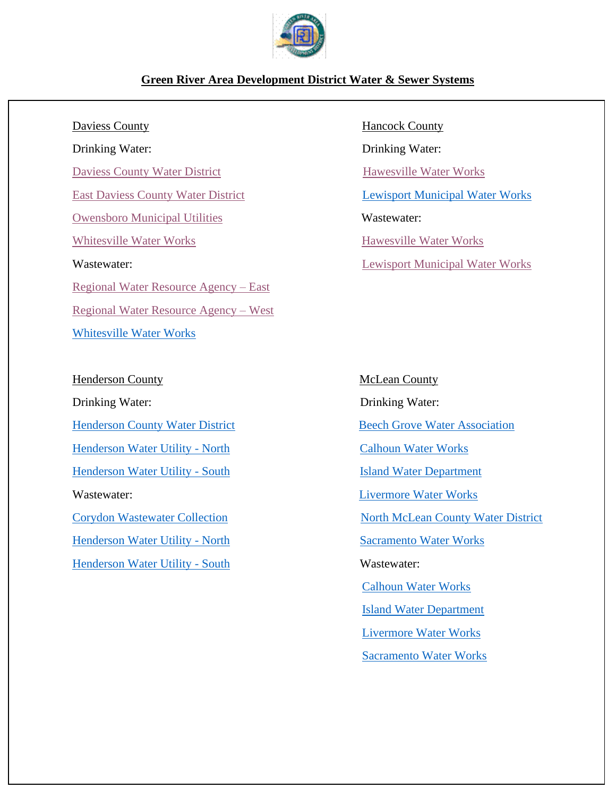

## **Green River Area Development District Water & Sewer Systems**

Drinking Water: Drinking Water: [Daviess County Water District](https://kygeonet.ky.gov/kia/dw/?config=config_zoom.json&esearch=KY0300387&slayer=2&exprnum=0) [Hawesville Water Works](https://kygeonet.ky.gov/kia/dw/?config=config_zoom.json&esearch=KY0460182&slayer=2&exprnum=0) [East Daviess County Water District](https://kygeonet.ky.gov/kia/dw/?config=config_zoom.json&esearch=KY0300109&slayer=2&exprnum=0) [Lewisport Municipal Water](https://kygeonet.ky.gov/kia/dw/?config=config_zoom.json&esearch=KY0460248&slayer=2&exprnum=0) Works [Owensboro Municipal Utilities](https://kygeonet.ky.gov/kia/dw/?config=config_zoom.json&esearch=KY0300336&slayer=2&exprnum=0) Wastewater: [Whitesville Water Works](https://kygeonet.ky.gov/kia/dw/?config=config_zoom.json&esearch=KY0300467&slayer=2&exprnum=0) Hawesville Water Works Wastewater: [Lewisport Municipal Water Works](https://kygeonet.ky.gov/kia/cw/?config=config_zoom.json&esearch=KY0025241&slayer=2&exprnum=0) [Regional Water Resource Agency –](https://kygeonet.ky.gov/kia/cw/?config=config_zoom.json&esearch=KY0073377&slayer=2&exprnum=0) East [Regional Water Resource Agency –](https://kygeonet.ky.gov/kia/cw/?config=config_zoom.json&esearch=KY0020095&slayer=2&exprnum=0) West [Whitesville Water Works](https://kygeonet.ky.gov/kia/cw/?config=config_zoom.json&esearch=KY0054941&slayer=2&exprnum=0)

Daviess County Hancock County

Henderson County McLean County Drinking Water: Drinking Water: [Henderson County Water District](https://kygeonet.ky.gov/kia/dw/?config=config_zoom.json&esearch=KY0510189&slayer=2&exprnum=0) [Beech Grove Water Association](https://kygeonet.ky.gov/kia/dw/?config=config_zoom.json&esearch=KY0750529&slayer=2&exprnum=0) [Corydon Wastewater Collection](https://kygeonet.ky.gov/kia/cw/?config=config_zoom.json&esearch=KYP000042&slayer=2&exprnum=0) [North McLean County Water District](https://kygeonet.ky.gov/kia/dw/?config=config_zoom.json&esearch=KY0300320&slayer=2&exprnum=0) [Calhoun Water Works](https://kygeonet.ky.gov/kia/cw/?config=config_zoom.json&esearch=KY0020125&slayer=2&exprnum=0) [Island Water Department](https://kygeonet.ky.gov/kia/cw/?config=config_zoom.json&esearch=KY0066605&slayer=2&exprnum=0) [Livermore Water Works](https://kygeonet.ky.gov/kia/cw/?config=config_zoom.json&esearch=KY0020613&slayer=2&exprnum=0)

[Henderson Water Utility -](https://kygeonet.ky.gov/kia/dw/?config=config_zoom.json&esearch=KY0510188&slayer=2&exprnum=0) North [Calhoun Water Works](https://kygeonet.ky.gov/kia/dw/?config=config_zoom.json&esearch=KY0750055&slayer=2&exprnum=0) [Henderson Water Utility -](https://kygeonet.ky.gov/kia/dw/?config=config_zoom.json&esearch=KY0510510&slayer=2&exprnum=0) South [Island Water Department](https://kygeonet.ky.gov/kia/dw/?config=config_zoom.json&esearch=KY0750207&slayer=2&exprnum=0) Wastewater: [Livermore Water Works](https://kygeonet.ky.gov/kia/dw/?config=config_zoom.json&esearch=KY0750252&slayer=2&exprnum=0) [Henderson Water Utility -](https://kygeonet.ky.gov/kia/cw/?config=config_zoom.json&esearch=KY0020711&slayer=2&exprnum=0) North [Sacramento Water Works](https://kygeonet.ky.gov/kia/dw/?config=config_zoom.json&esearch=KY0750907&slayer=2&exprnum=0) [Henderson Water Utility -](https://kygeonet.ky.gov/kia/cw/?config=config_zoom.json&esearch=KY0100293&slayer=2&exprnum=0) South Wastewater:

[Sacramento Water Works](https://kygeonet.ky.gov/kia/cw/?config=config_zoom.json&esearch=KY0091731&slayer=2&exprnum=0)